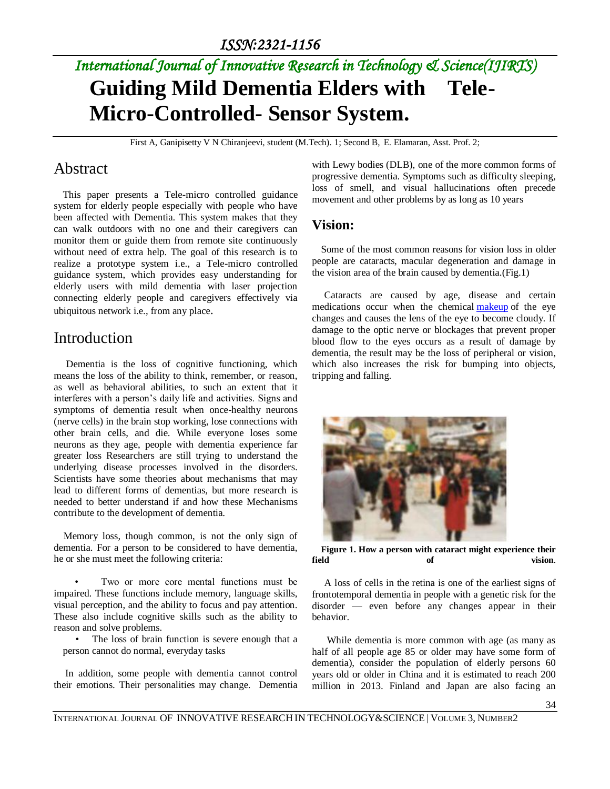# *International Journal of Innovative Research in Technology & Science(IJIRTS)* **Guiding Mild Dementia Elders with Tele-Micro-Controlled- Sensor System.**

First A, Ganipisetty V N Chiranjeevi, student (M.Tech). 1; Second B, E. Elamaran, Asst. Prof. 2;

#### Abstract

This paper presents a Tele-micro controlled guidance system for elderly people especially with people who have been affected with Dementia. This system makes that they can walk outdoors with no one and their caregivers can monitor them or guide them from remote site continuously without need of extra help. The goal of this research is to realize a prototype system i.e., a Tele-micro controlled guidance system, which provides easy understanding for elderly users with mild dementia with laser projection connecting elderly people and caregivers effectively via ubiquitous network i.e., from any place.

### Introduction

 Dementia is the loss of cognitive functioning, which means the loss of the ability to think, remember, or reason, as well as behavioral abilities, to such an extent that it interferes with a person's daily life and activities. Signs and symptoms of dementia result when once-healthy neurons (nerve cells) in the brain stop working, lose connections with other brain cells, and die. While everyone loses some neurons as they age, people with dementia experience far greater loss Researchers are still trying to understand the underlying disease processes involved in the disorders. Scientists have some theories about mechanisms that may lead to different forms of dementias, but more research is needed to better understand if and how these Mechanisms contribute to the development of dementia.

 Memory loss, though common, is not the only sign of dementia. For a person to be considered to have dementia, he or she must meet the following criteria:

Two or more core mental functions must be impaired. These functions include memory, language skills, visual perception, and the ability to focus and pay attention. These also include cognitive skills such as the ability to reason and solve problems.

The loss of brain function is severe enough that a person cannot do normal, everyday tasks

In addition, some people with dementia cannot control their emotions. Their personalities may change. Dementia with Lewy bodies (DLB), one of the more common forms of progressive dementia. Symptoms such as difficulty sleeping, loss of smell, and visual hallucinations often precede movement and other problems by as long as 10 years

#### **Vision:**

Some of the most common reasons for vision loss in older people are cataracts, macular degeneration and damage in the vision area of the brain caused by dementia.(Fig.1)

 Cataracts are caused by age, disease and certain medications occur when the chemical [makeup](http://www.livestrong.com/article/1003006-falls-dementia/) of the eye changes and causes the lens of the eye to become cloudy. If damage to the optic nerve or blockages that prevent proper blood flow to the eyes occurs as a result of damage by dementia, the result may be the loss of peripheral or vision, which also increases the risk for bumping into objects, tripping and falling.



**Figure 1. How a person with cataract might experience their field of vision**.

 A loss of cells in the retina is one of the earliest signs of frontotemporal dementia in people with a genetic risk for the disorder — even before any changes appear in their behavior.

 While dementia is more common with age (as many as half of all people age 85 or older may have some form of dementia), consider the population of elderly persons 60 years old or older in China and it is estimated to reach 200 million in 2013. Finland and Japan are also facing an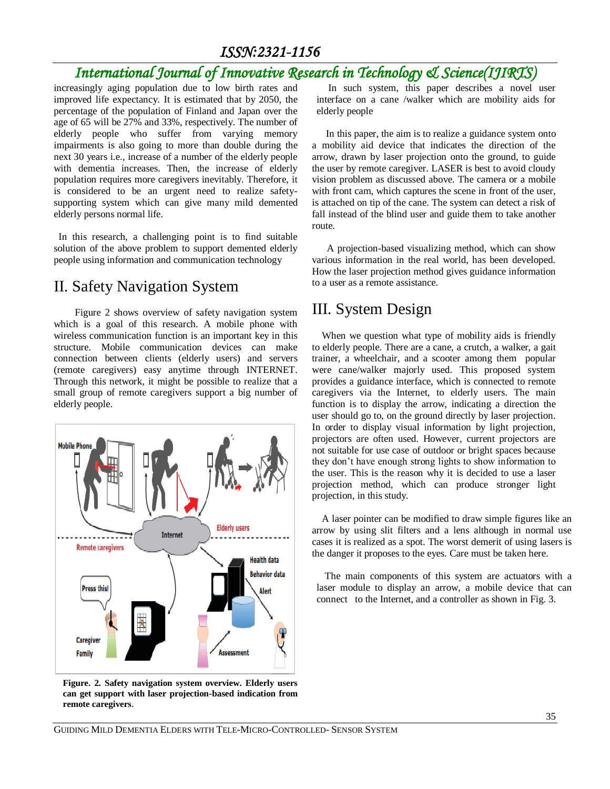### *ISSN:2321-1156*

# *International Journal of Innovative Research in Technology & Science(IJIRTS)*

increasingly aging population due to low birth rates and improved life expectancy. It is estimated that by 2050, the percentage of the population of Finland and Japan over the age of 65 will be 27% and 33%, respectively. The number of elderly people who suffer from varying memory impairments is also going to more than double during the next 30 years i.e., increase of a number of the elderly people with dementia increases. Then, the increase of elderly population requires more caregivers inevitably. Therefore, it is considered to be an urgent need to realize safetysupporting system which can give many mild demented elderly persons normal life.

 In this research, a challenging point is to find suitable solution of the above problem to support demented elderly people using information and communication technology

## II. Safety Navigation System

Figure 2 shows overview of safety navigation system which is a goal of this research. A mobile phone with wireless communication function is an important key in this structure. Mobile communication devices can make connection between clients (elderly users) and servers (remote caregivers) easy anytime through INTERNET. Through this network, it might be possible to realize that a small group of remote caregivers support a big number of elderly people.



**Figure. 2. Safety navigation system overview. Elderly users can get support with laser projection-based indication from remote caregivers**.

 In such system, this paper describes a novel user interface on a cane /walker which are mobility aids for elderly people

 In this paper, the aim is to realize a guidance system onto a mobility aid device that indicates the direction of the arrow, drawn by laser projection onto the ground, to guide the user by remote caregiver. LASER is best to avoid cloudy vision problem as discussed above. The camera or a mobile with front cam, which captures the scene in front of the user, is attached on tip of the cane. The system can detect a risk of fall instead of the blind user and guide them to take another route.

 A projection-based visualizing method, which can show various information in the real world, has been developed. How the laser projection method gives guidance information to a user as a remote assistance.

### III. System Design

 When we question what type of mobility aids is friendly to elderly people. There are a cane, a crutch, a walker, a gait trainer, a wheelchair, and a scooter among them popular were cane/walker majorly used. This proposed system provides a guidance interface, which is connected to remote caregivers via the Internet, to elderly users. The main function is to display the arrow, indicating a direction the user should go to, on the ground directly by laser projection. In order to display visual information by light projection, projectors are often used. However, current projectors are not suitable for use case of outdoor or bright spaces because they don't have enough strong lights to show information to the user. This is the reason why it is decided to use a laser projection method, which can produce stronger light projection, in this study.

 A laser pointer can be modified to draw simple figures like an arrow by using slit filters and a lens although in normal use cases it is realized as a spot. The worst demerit of using lasers is the danger it proposes to the eyes. Care must be taken here.

 The main components of this system are actuators with a laser module to display an arrow, a mobile device that can connect to the Internet, and a controller as shown in Fig. 3.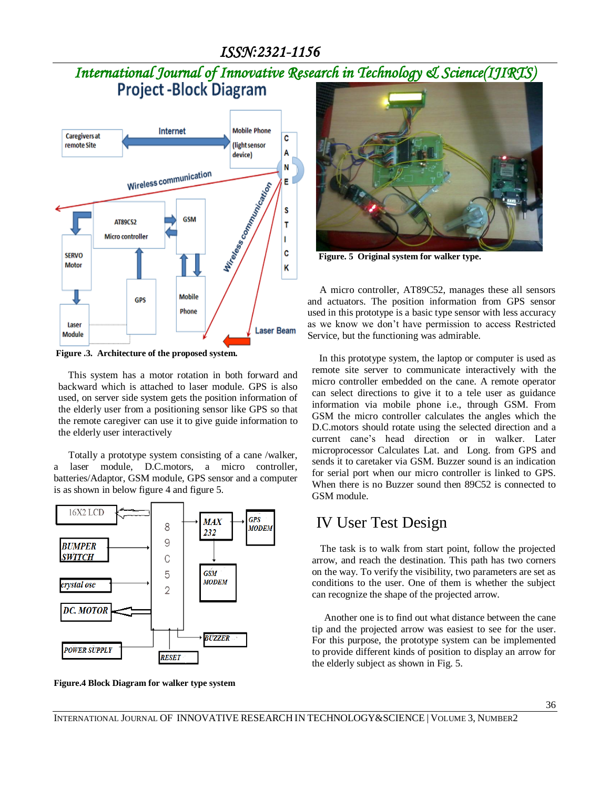### *ISSN:2321-1156*

# *International Journal of Innovative Research in Technology & Science(IJIRTS)* **Project-Block Diagram**



**Figure .3. Architecture of the proposed system.**

 This system has a motor rotation in both forward and backward which is attached to laser module. GPS is also used, on server side system gets the position information of the elderly user from a positioning sensor like GPS so that the remote caregiver can use it to give guide information to the elderly user interactively

 Totally a prototype system consisting of a cane /walker, a laser module, D.C.motors, a micro controller, batteries/Adaptor, GSM module, GPS sensor and a computer is as shown in below figure 4 and figure 5.



**Figure.4 Block Diagram for walker type system**



 **Figure. 5 Original system for walker type.** 

 A micro controller, AT89C52, manages these all sensors and actuators. The position information from GPS sensor used in this prototype is a basic type sensor with less accuracy as we know we don't have permission to access Restricted Service, but the functioning was admirable.

 In this prototype system, the laptop or computer is used as remote site server to communicate interactively with the micro controller embedded on the cane. A remote operator can select directions to give it to a tele user as guidance information via mobile phone i.e., through GSM. From GSM the micro controller calculates the angles which the D.C.motors should rotate using the selected direction and a current cane's head direction or in walker. Later microprocessor Calculates Lat. and Long. from GPS and sends it to caretaker via GSM. Buzzer sound is an indication for serial port when our micro controller is linked to GPS. When there is no Buzzer sound then 89C52 is connected to GSM module.

#### IV User Test Design

 The task is to walk from start point, follow the projected arrow, and reach the destination. This path has two corners on the way. To verify the visibility, two parameters are set as conditions to the user. One of them is whether the subject can recognize the shape of the projected arrow.

 Another one is to find out what distance between the cane tip and the projected arrow was easiest to see for the user. For this purpose, the prototype system can be implemented to provide different kinds of position to display an arrow for the elderly subject as shown in Fig. 5.